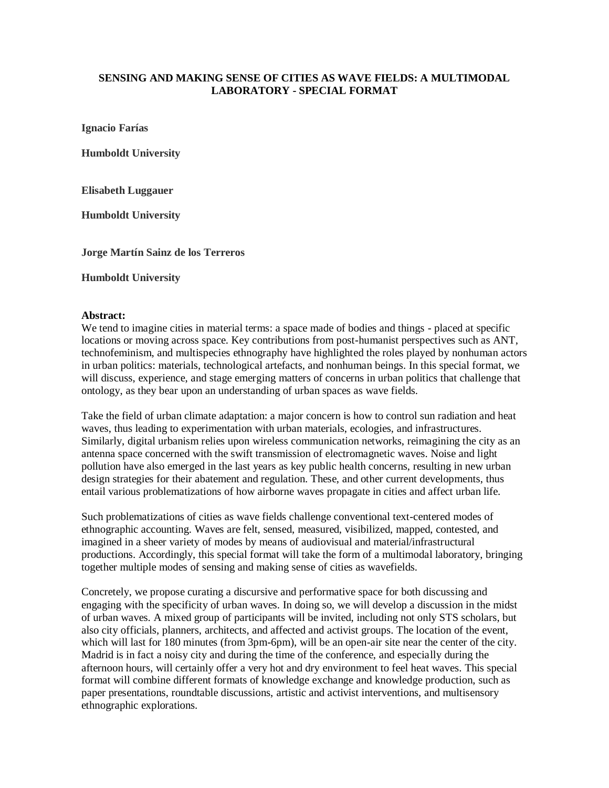## **SENSING AND MAKING SENSE OF CITIES AS WAVE FIELDS: A MULTIMODAL LABORATORY - SPECIAL FORMAT**

**Ignacio Farías**

**Humboldt University** 

**Elisabeth Luggauer** 

**Humboldt University**

**Jorge Martín Sainz de los Terreros**

**Humboldt University**

## **Abstract:**

We tend to imagine cities in material terms: a space made of bodies and things - placed at specific locations or moving across space. Key contributions from post-humanist perspectives such as ANT, technofeminism, and multispecies ethnography have highlighted the roles played by nonhuman actors in urban politics: materials, technological artefacts, and nonhuman beings. In this special format, we will discuss, experience, and stage emerging matters of concerns in urban politics that challenge that ontology, as they bear upon an understanding of urban spaces as wave fields.

Take the field of urban climate adaptation: a major concern is how to control sun radiation and heat waves, thus leading to experimentation with urban materials, ecologies, and infrastructures. Similarly, digital urbanism relies upon wireless communication networks, reimagining the city as an antenna space concerned with the swift transmission of electromagnetic waves. Noise and light pollution have also emerged in the last years as key public health concerns, resulting in new urban design strategies for their abatement and regulation. These, and other current developments, thus entail various problematizations of how airborne waves propagate in cities and affect urban life.

Such problematizations of cities as wave fields challenge conventional text-centered modes of ethnographic accounting. Waves are felt, sensed, measured, visibilized, mapped, contested, and imagined in a sheer variety of modes by means of audiovisual and material/infrastructural productions. Accordingly, this special format will take the form of a multimodal laboratory, bringing together multiple modes of sensing and making sense of cities as wavefields.

Concretely, we propose curating a discursive and performative space for both discussing and engaging with the specificity of urban waves. In doing so, we will develop a discussion in the midst of urban waves. A mixed group of participants will be invited, including not only STS scholars, but also city officials, planners, architects, and affected and activist groups. The location of the event, which will last for 180 minutes (from 3pm-6pm), will be an open-air site near the center of the city. Madrid is in fact a noisy city and during the time of the conference, and especially during the afternoon hours, will certainly offer a very hot and dry environment to feel heat waves. This special format will combine different formats of knowledge exchange and knowledge production, such as paper presentations, roundtable discussions, artistic and activist interventions, and multisensory ethnographic explorations.